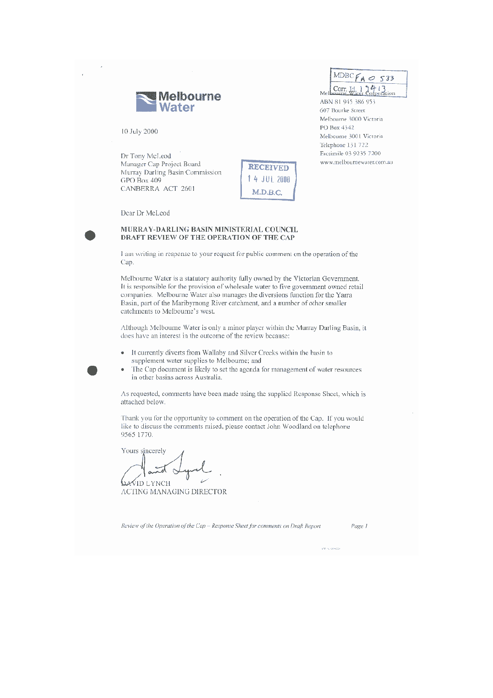

10 July 2000

Dr Tony McLeod Manager Cap Project Board Murray Darling Basin Commission GPO Box 409 CANBERRA ACT 2601

**RECEIVED** 14 JUL 2008 M.D.B.C.

Dear Dr McLeod

## MURRAY-DARLING BASIN MINISTERIAL COUNCIL DRAFT REVIEW OF THE OPERATION OF THE CAP

I am writing in response to your request for public comment on the operation of the Cap.

Melbourne Water is a statutory authority fully owned by the Victorian Government. It is responsible for the provision of wholesale water to five government owned retail companies. Melbourne Water also manages the diversions function for the Yarra Basin, part of the Maribyrnong River catchment, and a number of other smaller catchments to Melbourne's west.

Although Melbourne Water is only a minor player within the Murray Darling Basin, it does have an interest in the outcome of the review because:

- It currently diverts from Wallaby and Silver Creeks within the basin to supplement water supplies to Melbourne; and
- The Cap document is likely to set the agenda for management of water resources in other basins across Australia.

As requested, comments have been made using the supplied Response Sheet, which is attached below.

Thank you for the opportunity to comment on the operation of the Cap. If you would like to discuss the comments raised, please contact John Woodland on telephone 9565 1770.

Yours sincerely

Qavid lynch ACTING MANAGING DIRECTOR

Review of the Operation of the Cap - Response Sheet for comments on Draft Report

Page 1

 $MDBCF_{A} \circ 533$ Corr.  $\left[\begin{matrix} 1 & 1 \\ 1 & 1 \end{matrix}\right]$ 

ABN 81 945 386 953

Melbourne 3001 Victoria Telephone 131 722 Facsimile 03 9235 7200

www.melbournewater.com.au

607 Bourke Street Melbourne 3000 Victoria PO Box 4342

Me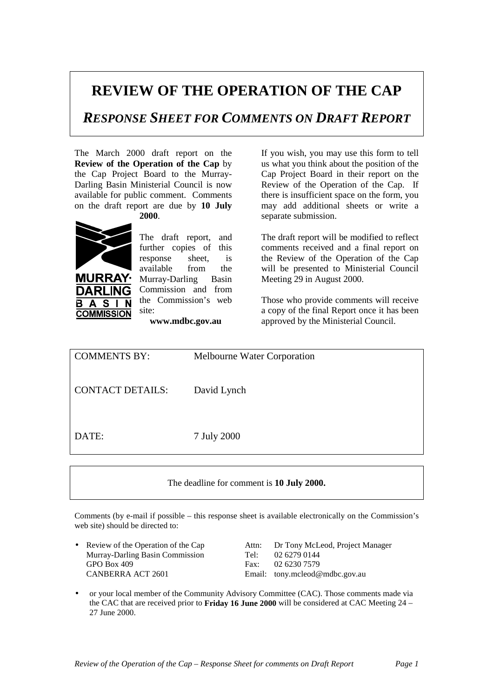## **REVIEW OF THE OPERATION OF THE CAP**

## *RESPONSE SHEET FOR COMMENTS ON DRAFT REPORT*

The March 2000 draft report on the **Review of the Operation of the Cap** by the Cap Project Board to the Murray-Darling Basin Ministerial Council is now available for public comment. Comments on the draft report are due by **10 July**

**2000**.



S **COMMISSION** 

The draft report, and further copies of this response sheet, is available from the Murray-Darling Basin Commission and from the Commission's web site:

**www.mdbc.gov.au**

If you wish, you may use this form to tell us what you think about the position of the Cap Project Board in their report on the Review of the Operation of the Cap. If there is insufficient space on the form, you may add additional sheets or write a separate submission.

The draft report will be modified to reflect comments received and a final report on the Review of the Operation of the Cap will be presented to Ministerial Council Meeting 29 in August 2000.

Those who provide comments will receive a copy of the final Report once it has been approved by the Ministerial Council.

| <b>COMMENTS BY:</b>     | Melbourne Water Corporation |
|-------------------------|-----------------------------|
| <b>CONTACT DETAILS:</b> | David Lynch                 |
| DATE:                   | 7 July 2000                 |

## The deadline for comment is **10 July 2000.**

Comments (by e-mail if possible – this response sheet is available electronically on the Commission's web site) should be directed to:

Murray-Darling Basin Commission Tel: 02 6279 0144 GPO Box 409 Fax: 02 6230 7579 CANBERRA ACT 2601 Email: tony.mcleod@mdbc.gov.au

• Review of the Operation of the Cap Attn: Dr Tony McLeod, Project Manager

• or your local member of the Community Advisory Committee (CAC). Those comments made via the CAC that are received prior to **Friday 16 June 2000** will be considered at CAC Meeting 24 – 27 June 2000.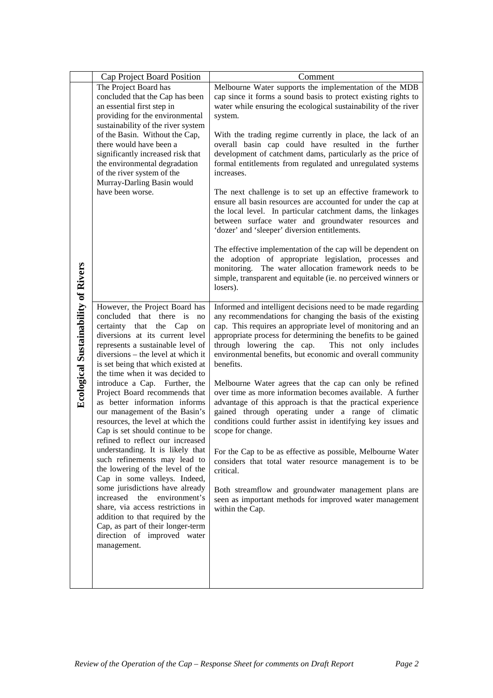|                                            | Cap Project Board Position                                                                                                                                                                                                                                                               | Comment                                                                                                                                                                                                                                                                                                                                                                                                                                                                                                                                                                                                                                                                                                                                                                                                                  |
|--------------------------------------------|------------------------------------------------------------------------------------------------------------------------------------------------------------------------------------------------------------------------------------------------------------------------------------------|--------------------------------------------------------------------------------------------------------------------------------------------------------------------------------------------------------------------------------------------------------------------------------------------------------------------------------------------------------------------------------------------------------------------------------------------------------------------------------------------------------------------------------------------------------------------------------------------------------------------------------------------------------------------------------------------------------------------------------------------------------------------------------------------------------------------------|
|                                            | The Project Board has<br>concluded that the Cap has been                                                                                                                                                                                                                                 | Melbourne Water supports the implementation of the MDB<br>cap since it forms a sound basis to protect existing rights to                                                                                                                                                                                                                                                                                                                                                                                                                                                                                                                                                                                                                                                                                                 |
|                                            | an essential first step in                                                                                                                                                                                                                                                               | water while ensuring the ecological sustainability of the river                                                                                                                                                                                                                                                                                                                                                                                                                                                                                                                                                                                                                                                                                                                                                          |
|                                            | providing for the environmental                                                                                                                                                                                                                                                          | system.                                                                                                                                                                                                                                                                                                                                                                                                                                                                                                                                                                                                                                                                                                                                                                                                                  |
|                                            | sustainability of the river system<br>of the Basin. Without the Cap,<br>there would have been a<br>significantly increased risk that<br>the environmental degradation<br>of the river system of the<br>Murray-Darling Basin would<br>have been worse.                                    | With the trading regime currently in place, the lack of an<br>overall basin cap could have resulted in the further<br>development of catchment dams, particularly as the price of<br>formal entitlements from regulated and unregulated systems<br>increases.<br>The next challenge is to set up an effective framework to<br>ensure all basin resources are accounted for under the cap at<br>the local level. In particular catchment dams, the linkages<br>between surface water and groundwater resources and<br>'dozer' and 'sleeper' diversion entitlements.<br>The effective implementation of the cap will be dependent on<br>the adoption of appropriate legislation, processes and<br>monitoring. The water allocation framework needs to be<br>simple, transparent and equitable (ie. no perceived winners or |
|                                            |                                                                                                                                                                                                                                                                                          | losers).                                                                                                                                                                                                                                                                                                                                                                                                                                                                                                                                                                                                                                                                                                                                                                                                                 |
| <b>Ecological Sustainability of Rivers</b> | However, the Project Board has<br>concluded that there is<br>no<br>certainty that the Cap<br>on<br>diversions at its current level<br>represents a sustainable level of<br>$diversions - the level at which it$<br>is set being that which existed at<br>the time when it was decided to | Informed and intelligent decisions need to be made regarding<br>any recommendations for changing the basis of the existing<br>cap. This requires an appropriate level of monitoring and an<br>appropriate process for determining the benefits to be gained<br>through lowering the cap.<br>This not only includes<br>environmental benefits, but economic and overall community<br>benefits.                                                                                                                                                                                                                                                                                                                                                                                                                            |
|                                            | introduce a Cap. Further, the<br>Project Board recommends that<br>as better information informs<br>our management of the Basin's<br>resources, the level at which the<br>Cap is set should continue to be<br>refined to reflect our increased                                            | Melbourne Water agrees that the cap can only be refined<br>over time as more information becomes available. A further<br>advantage of this approach is that the practical experience<br>gained through operating under a range of climatic<br>conditions could further assist in identifying key issues and<br>scope for change.                                                                                                                                                                                                                                                                                                                                                                                                                                                                                         |
|                                            | understanding. It is likely that<br>such refinements may lead to<br>the lowering of the level of the<br>Cap in some valleys. Indeed,                                                                                                                                                     | For the Cap to be as effective as possible, Melbourne Water<br>considers that total water resource management is to be<br>critical.                                                                                                                                                                                                                                                                                                                                                                                                                                                                                                                                                                                                                                                                                      |
|                                            | some jurisdictions have already<br>increased<br>the environment's<br>share, via access restrictions in<br>addition to that required by the<br>Cap, as part of their longer-term<br>direction of improved water<br>management.                                                            | Both streamflow and groundwater management plans are<br>seen as important methods for improved water management<br>within the Cap.                                                                                                                                                                                                                                                                                                                                                                                                                                                                                                                                                                                                                                                                                       |
|                                            |                                                                                                                                                                                                                                                                                          |                                                                                                                                                                                                                                                                                                                                                                                                                                                                                                                                                                                                                                                                                                                                                                                                                          |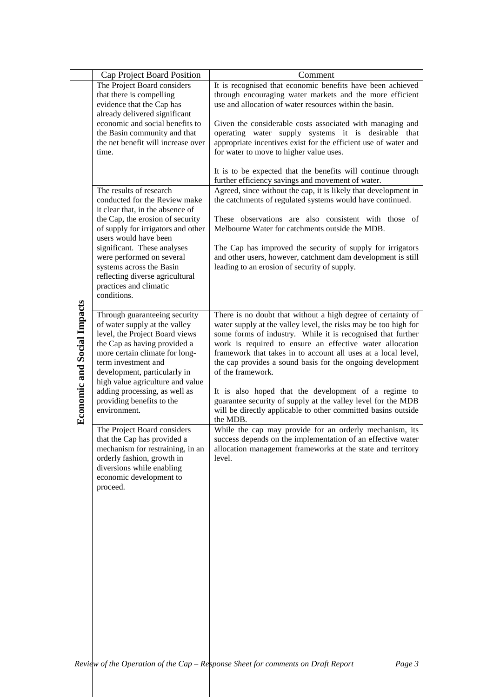|                                    | Cap Project Board Position                                                                                                                                                                                                                                                                                                                                                                                                                                                                                                                      | Comment                                                                                                                                                                                                                                                                                                                                                                                                                                                                                                                                                                                                                                                                                                                                                                                                                |
|------------------------------------|-------------------------------------------------------------------------------------------------------------------------------------------------------------------------------------------------------------------------------------------------------------------------------------------------------------------------------------------------------------------------------------------------------------------------------------------------------------------------------------------------------------------------------------------------|------------------------------------------------------------------------------------------------------------------------------------------------------------------------------------------------------------------------------------------------------------------------------------------------------------------------------------------------------------------------------------------------------------------------------------------------------------------------------------------------------------------------------------------------------------------------------------------------------------------------------------------------------------------------------------------------------------------------------------------------------------------------------------------------------------------------|
|                                    | The Project Board considers<br>that there is compelling<br>evidence that the Cap has<br>already delivered significant                                                                                                                                                                                                                                                                                                                                                                                                                           | It is recognised that economic benefits have been achieved<br>through encouraging water markets and the more efficient<br>use and allocation of water resources within the basin.                                                                                                                                                                                                                                                                                                                                                                                                                                                                                                                                                                                                                                      |
|                                    | economic and social benefits to<br>the Basin community and that<br>the net benefit will increase over<br>time.                                                                                                                                                                                                                                                                                                                                                                                                                                  | Given the considerable costs associated with managing and<br>operating water supply systems it is desirable that<br>appropriate incentives exist for the efficient use of water and<br>for water to move to higher value uses.                                                                                                                                                                                                                                                                                                                                                                                                                                                                                                                                                                                         |
|                                    | The results of research                                                                                                                                                                                                                                                                                                                                                                                                                                                                                                                         | It is to be expected that the benefits will continue through<br>further efficiency savings and movement of water.<br>Agreed, since without the cap, it is likely that development in                                                                                                                                                                                                                                                                                                                                                                                                                                                                                                                                                                                                                                   |
|                                    | conducted for the Review make<br>it clear that, in the absence of                                                                                                                                                                                                                                                                                                                                                                                                                                                                               | the catchments of regulated systems would have continued.                                                                                                                                                                                                                                                                                                                                                                                                                                                                                                                                                                                                                                                                                                                                                              |
|                                    | the Cap, the erosion of security<br>of supply for irrigators and other<br>users would have been                                                                                                                                                                                                                                                                                                                                                                                                                                                 | These observations are also consistent with those of<br>Melbourne Water for catchments outside the MDB.                                                                                                                                                                                                                                                                                                                                                                                                                                                                                                                                                                                                                                                                                                                |
|                                    | significant. These analyses<br>were performed on several<br>systems across the Basin<br>reflecting diverse agricultural<br>practices and climatic<br>conditions.                                                                                                                                                                                                                                                                                                                                                                                | The Cap has improved the security of supply for irrigators<br>and other users, however, catchment dam development is still<br>leading to an erosion of security of supply.                                                                                                                                                                                                                                                                                                                                                                                                                                                                                                                                                                                                                                             |
| <b>Economic and Social Impacts</b> | Through guaranteeing security<br>of water supply at the valley<br>level, the Project Board views<br>the Cap as having provided a<br>more certain climate for long-<br>term investment and<br>development, particularly in<br>high value agriculture and value<br>adding processing, as well as<br>providing benefits to the<br>environment.<br>The Project Board considers<br>that the Cap has provided a<br>mechanism for restraining, in an<br>orderly fashion, growth in<br>diversions while enabling<br>economic development to<br>proceed. | There is no doubt that without a high degree of certainty of<br>water supply at the valley level, the risks may be too high for<br>some forms of industry. While it is recognised that further<br>work is required to ensure an effective water allocation<br>framework that takes in to account all uses at a local level,<br>the cap provides a sound basis for the ongoing development<br>of the framework.<br>It is also hoped that the development of a regime to<br>guarantee security of supply at the valley level for the MDB<br>will be directly applicable to other committed basins outside<br>the MDB.<br>While the cap may provide for an orderly mechanism, its<br>success depends on the implementation of an effective water<br>allocation management frameworks at the state and territory<br>level. |
|                                    |                                                                                                                                                                                                                                                                                                                                                                                                                                                                                                                                                 | Review of the Operation of the Cap $-$ Response Sheet for comments on Draft Report<br>Page 3                                                                                                                                                                                                                                                                                                                                                                                                                                                                                                                                                                                                                                                                                                                           |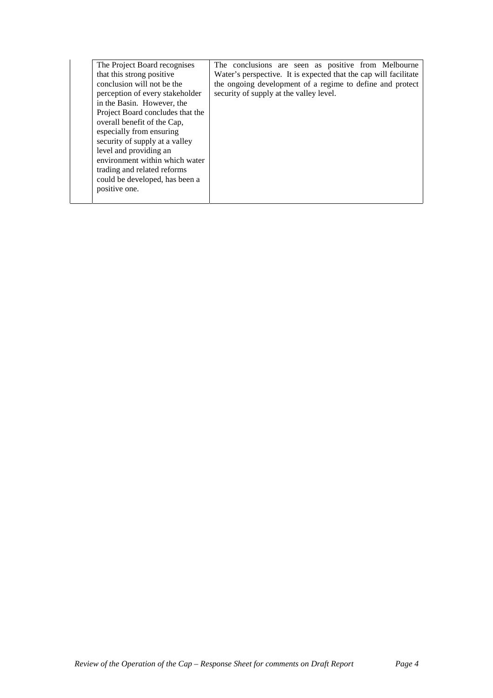| The Project Board recognises     | The conclusions are seen as positive from Melbourne              |
|----------------------------------|------------------------------------------------------------------|
| that this strong positive        | Water's perspective. It is expected that the cap will facilitate |
| conclusion will not be the       | the ongoing development of a regime to define and protect        |
| perception of every stakeholder  | security of supply at the valley level.                          |
| in the Basin. However, the       |                                                                  |
| Project Board concludes that the |                                                                  |
| overall benefit of the Cap,      |                                                                  |
| especially from ensuring         |                                                                  |
| security of supply at a valley   |                                                                  |
| level and providing an           |                                                                  |
| environment within which water   |                                                                  |
| trading and related reforms      |                                                                  |
| could be developed, has been a   |                                                                  |
| positive one.                    |                                                                  |
|                                  |                                                                  |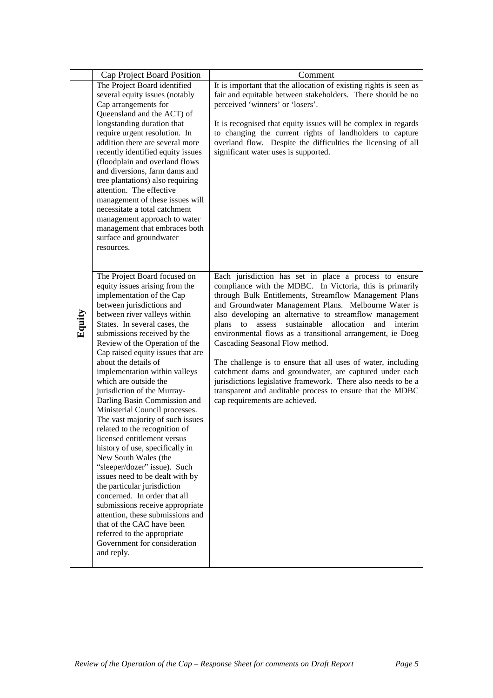|        | Cap Project Board Position                                                                                                                                                                                                                                                                                                                                                                                                                                                                                                                                                                                                                                                                                                                                                                                                                                                                                                           | Comment                                                                                                                                                                                                                                                                                                                                                                                                                                                                                                                                                                                                                                                                                                |
|--------|--------------------------------------------------------------------------------------------------------------------------------------------------------------------------------------------------------------------------------------------------------------------------------------------------------------------------------------------------------------------------------------------------------------------------------------------------------------------------------------------------------------------------------------------------------------------------------------------------------------------------------------------------------------------------------------------------------------------------------------------------------------------------------------------------------------------------------------------------------------------------------------------------------------------------------------|--------------------------------------------------------------------------------------------------------------------------------------------------------------------------------------------------------------------------------------------------------------------------------------------------------------------------------------------------------------------------------------------------------------------------------------------------------------------------------------------------------------------------------------------------------------------------------------------------------------------------------------------------------------------------------------------------------|
|        | The Project Board identified                                                                                                                                                                                                                                                                                                                                                                                                                                                                                                                                                                                                                                                                                                                                                                                                                                                                                                         | It is important that the allocation of existing rights is seen as                                                                                                                                                                                                                                                                                                                                                                                                                                                                                                                                                                                                                                      |
|        | several equity issues (notably                                                                                                                                                                                                                                                                                                                                                                                                                                                                                                                                                                                                                                                                                                                                                                                                                                                                                                       | fair and equitable between stakeholders. There should be no                                                                                                                                                                                                                                                                                                                                                                                                                                                                                                                                                                                                                                            |
|        | Cap arrangements for                                                                                                                                                                                                                                                                                                                                                                                                                                                                                                                                                                                                                                                                                                                                                                                                                                                                                                                 | perceived 'winners' or 'losers'.                                                                                                                                                                                                                                                                                                                                                                                                                                                                                                                                                                                                                                                                       |
|        | Queensland and the ACT) of                                                                                                                                                                                                                                                                                                                                                                                                                                                                                                                                                                                                                                                                                                                                                                                                                                                                                                           |                                                                                                                                                                                                                                                                                                                                                                                                                                                                                                                                                                                                                                                                                                        |
|        | longstanding duration that<br>require urgent resolution. In<br>addition there are several more<br>recently identified equity issues<br>(floodplain and overland flows<br>and diversions, farm dams and<br>tree plantations) also requiring<br>attention. The effective<br>management of these issues will<br>necessitate a total catchment<br>management approach to water<br>management that embraces both<br>surface and groundwater<br>resources.                                                                                                                                                                                                                                                                                                                                                                                                                                                                                 | It is recognised that equity issues will be complex in regards<br>to changing the current rights of landholders to capture<br>overland flow. Despite the difficulties the licensing of all<br>significant water uses is supported.                                                                                                                                                                                                                                                                                                                                                                                                                                                                     |
|        | The Project Board focused on                                                                                                                                                                                                                                                                                                                                                                                                                                                                                                                                                                                                                                                                                                                                                                                                                                                                                                         | Each jurisdiction has set in place a process to ensure                                                                                                                                                                                                                                                                                                                                                                                                                                                                                                                                                                                                                                                 |
| Equity | equity issues arising from the<br>implementation of the Cap<br>between jurisdictions and<br>between river valleys within<br>States. In several cases, the<br>submissions received by the<br>Review of the Operation of the<br>Cap raised equity issues that are<br>about the details of<br>implementation within valleys<br>which are outside the<br>jurisdiction of the Murray-<br>Darling Basin Commission and<br>Ministerial Council processes.<br>The vast majority of such issues<br>related to the recognition of<br>licensed entitlement versus<br>history of use, specifically in<br>New South Wales (the<br>"sleeper/dozer" issue). Such<br>issues need to be dealt with by<br>the particular jurisdiction<br>concerned. In order that all<br>submissions receive appropriate<br>attention, these submissions and<br>that of the CAC have been<br>referred to the appropriate<br>Government for consideration<br>and reply. | compliance with the MDBC. In Victoria, this is primarily<br>through Bulk Entitlements, Streamflow Management Plans<br>and Groundwater Management Plans. Melbourne Water is<br>also developing an alternative to streamflow management<br>assess<br>sustainable<br>allocation<br>and<br>plans to<br>interim<br>environmental flows as a transitional arrangement, ie Doeg<br>Cascading Seasonal Flow method.<br>The challenge is to ensure that all uses of water, including<br>catchment dams and groundwater, are captured under each<br>jurisdictions legislative framework. There also needs to be a<br>transparent and auditable process to ensure that the MDBC<br>cap requirements are achieved. |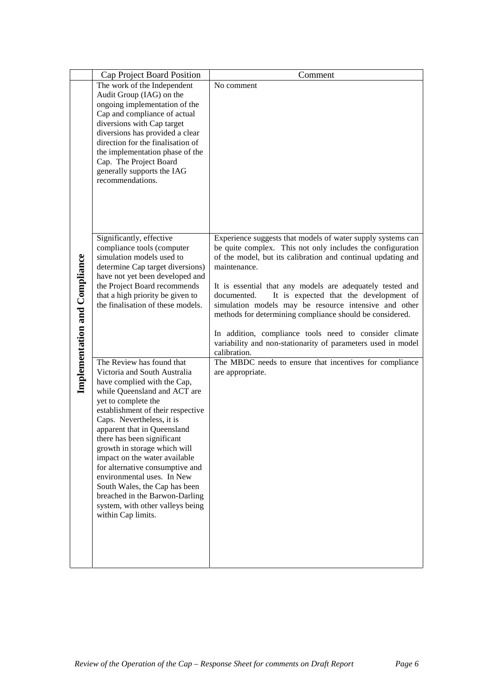|                                      | Cap Project Board Position                                                                                                                                                                                                                                                                                                                                                                                                                                                                                                                    | Comment                                                                                                                                                                                                                                                                                                                                                                                                                                                                                                                                                                                        |
|--------------------------------------|-----------------------------------------------------------------------------------------------------------------------------------------------------------------------------------------------------------------------------------------------------------------------------------------------------------------------------------------------------------------------------------------------------------------------------------------------------------------------------------------------------------------------------------------------|------------------------------------------------------------------------------------------------------------------------------------------------------------------------------------------------------------------------------------------------------------------------------------------------------------------------------------------------------------------------------------------------------------------------------------------------------------------------------------------------------------------------------------------------------------------------------------------------|
| <b>Implementation and Compliance</b> | The work of the Independent<br>Audit Group (IAG) on the<br>ongoing implementation of the<br>Cap and compliance of actual<br>diversions with Cap target<br>diversions has provided a clear<br>direction for the finalisation of<br>the implementation phase of the<br>Cap. The Project Board<br>generally supports the IAG<br>recommendations.                                                                                                                                                                                                 | No comment                                                                                                                                                                                                                                                                                                                                                                                                                                                                                                                                                                                     |
|                                      | Significantly, effective<br>compliance tools (computer<br>simulation models used to<br>determine Cap target diversions)<br>have not yet been developed and<br>the Project Board recommends<br>that a high priority be given to<br>the finalisation of these models.                                                                                                                                                                                                                                                                           | Experience suggests that models of water supply systems can<br>be quite complex. This not only includes the configuration<br>of the model, but its calibration and continual updating and<br>maintenance.<br>It is essential that any models are adequately tested and<br>It is expected that the development of<br>documented.<br>simulation models may be resource intensive and other<br>methods for determining compliance should be considered.<br>In addition, compliance tools need to consider climate<br>variability and non-stationarity of parameters used in model<br>calibration. |
|                                      | The Review has found that<br>Victoria and South Australia<br>have complied with the Cap,<br>while Queensland and ACT are<br>yet to complete the<br>establishment of their respective<br>Caps. Nevertheless, it is<br>apparent that in Queensland<br>there has been significant<br>growth in storage which will<br>impact on the water available<br>for alternative consumptive and<br>environmental uses. In New<br>South Wales, the Cap has been<br>breached in the Barwon-Darling<br>system, with other valleys being<br>within Cap limits. | The MBDC needs to ensure that incentives for compliance<br>are appropriate.                                                                                                                                                                                                                                                                                                                                                                                                                                                                                                                    |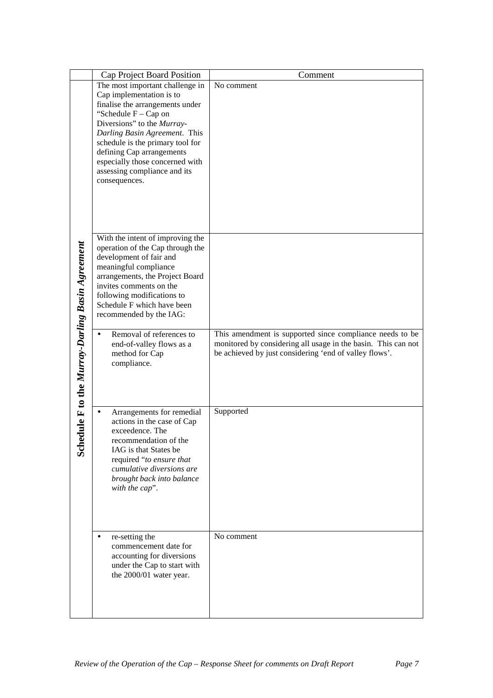|                                                     | Cap Project Board Position                                                                                                                                                                                                                                                                                                                                             | Comment                                                                                                                                                                             |
|-----------------------------------------------------|------------------------------------------------------------------------------------------------------------------------------------------------------------------------------------------------------------------------------------------------------------------------------------------------------------------------------------------------------------------------|-------------------------------------------------------------------------------------------------------------------------------------------------------------------------------------|
| dule F to the Murray-Darling Basin Agreement<br>Sch | The most important challenge in<br>Cap implementation is to<br>finalise the arrangements under<br>"Schedule $F - Cap$ on<br>Diversions" to the Murray-<br>Darling Basin Agreement. This<br>schedule is the primary tool for<br>defining Cap arrangements<br>especially those concerned with<br>assessing compliance and its<br>consequences.                           | No comment                                                                                                                                                                          |
|                                                     | With the intent of improving the<br>operation of the Cap through the<br>development of fair and<br>meaningful compliance<br>arrangements, the Project Board<br>invites comments on the<br>following modifications to<br>Schedule F which have been<br>recommended by the IAG:<br>Removal of references to<br>end-of-valley flows as a<br>method for Cap<br>compliance. | This amendment is supported since compliance needs to be<br>monitored by considering all usage in the basin. This can not<br>be achieved by just considering 'end of valley flows'. |
|                                                     | Arrangements for remedial<br>actions in the case of Cap<br>exceedence. The<br>recommendation of the<br>IAG is that States be<br>required "to ensure that<br>cumulative diversions are<br>brought back into balance<br>with the cap".<br>re-setting the<br>$\bullet$                                                                                                    | Supported<br>No comment                                                                                                                                                             |
|                                                     | commencement date for<br>accounting for diversions<br>under the Cap to start with<br>the 2000/01 water year.                                                                                                                                                                                                                                                           |                                                                                                                                                                                     |